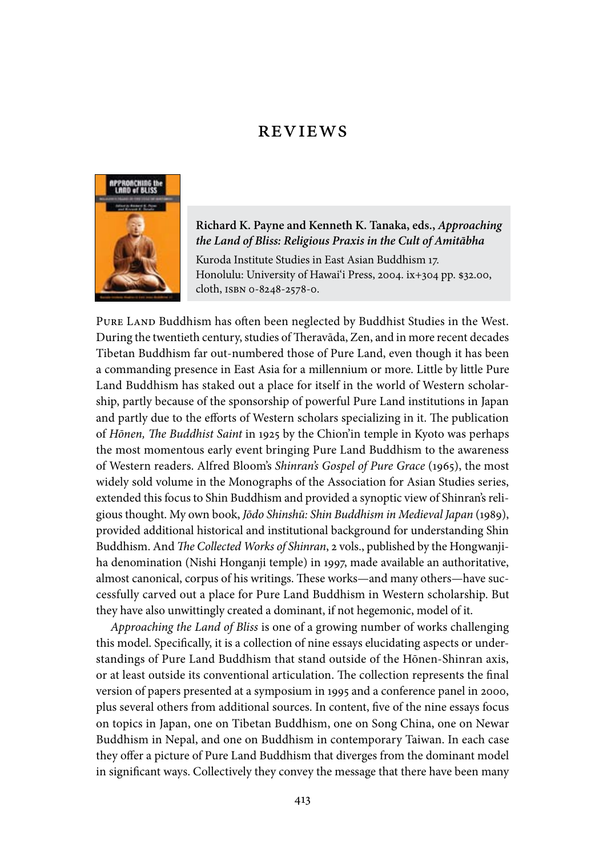## **REVIEWS**



**Richard K. Payne and Kenneth K. Tanaka, eds.,** *Approaching the Land of Bliss: Religious Praxis in the Cult of Amitābha*

Kuroda Institute Studies in East Asian Buddhism 17. Honolulu: University of Hawai'i Press, 2004. ix+304 pp. \$32.00, cloth, ISBN 0-8248-2578-0.

PURE LAND Buddhism has often been neglected by Buddhist Studies in the West. During the twentieth century, studies of Theravāda, Zen, and in more recent decades Tibetan Buddhism far out-numbered those of Pure Land, even though it has been a commanding presence in East Asia for a millennium or more. Little by little Pure Land Buddhism has staked out a place for itself in the world of Western scholarship, partly because of the sponsorship of powerful Pure Land institutions in Japan and partly due to the efforts of Western scholars specializing in it. The publication of *Hōnen, The Buddhist Saint* in 1925 by the Chion'in temple in Kyoto was perhaps the most momentous early event bringing Pure Land Buddhism to the awareness of Western readers. Alfred Bloom's *Shinran's Gospel of Pure Grace* (1965), the most widely sold volume in the Monographs of the Association for Asian Studies series, extended this focus to Shin Buddhism and provided a synoptic view of Shinran's religious thought. My own book, *Jōdo Shinshū: Shin Buddhism in Medieval Japan* (1989), provided additional historical and institutional background for understanding Shin Buddhism. And *The Collected Works of Shinran*, 2 vols., published by the Hongwanjiha denomination (Nishi Honganji temple) in 1997, made available an authoritative, almost canonical, corpus of his writings. These works—and many others—have successfully carved out a place for Pure Land Buddhism in Western scholarship. But they have also unwittingly created a dominant, if not hegemonic, model of it.

*Approaching the Land of Bliss* is one of a growing number of works challenging this model. Specifically, it is a collection of nine essays elucidating aspects or understandings of Pure Land Buddhism that stand outside of the Hōnen-Shinran axis, or at least outside its conventional articulation. The collection represents the final version of papers presented at a symposium in 1995 and a conference panel in 2000, plus several others from additional sources. In content, five of the nine essays focus on topics in Japan, one on Tibetan Buddhism, one on Song China, one on Newar Buddhism in Nepal, and one on Buddhism in contemporary Taiwan. In each case they offer a picture of Pure Land Buddhism that diverges from the dominant model in significant ways. Collectively they convey the message that there have been many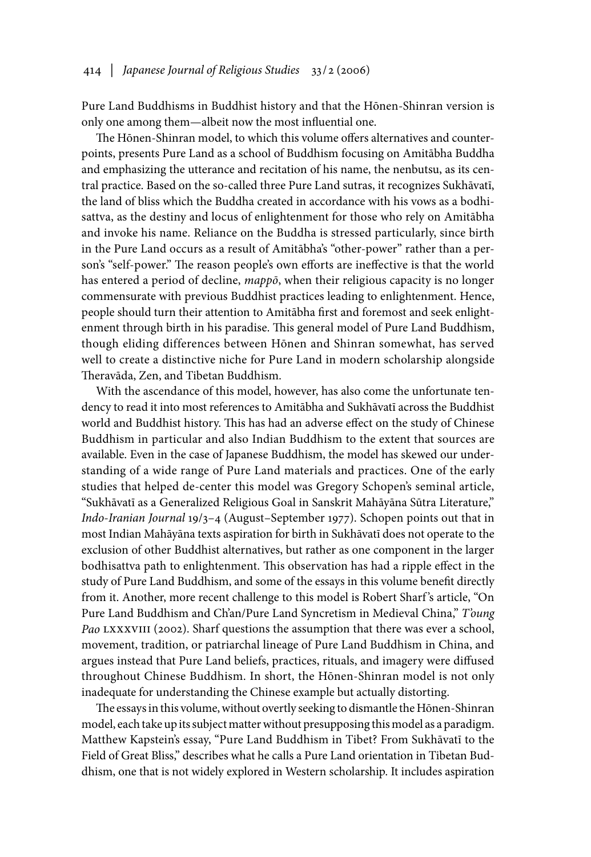Pure Land Buddhisms in Buddhist history and that the Hōnen-Shinran version is only one among them—albeit now the most influential one.

The Hōnen-Shinran model, to which this volume offers alternatives and counterpoints, presents Pure Land as a school of Buddhism focusing on Amitābha Buddha and emphasizing the utterance and recitation of his name, the nenbutsu, as its central practice. Based on the so-called three Pure Land sutras, it recognizes Sukhāvatī, the land of bliss which the Buddha created in accordance with his vows as a bodhisattva, as the destiny and locus of enlightenment for those who rely on Amitābha and invoke his name. Reliance on the Buddha is stressed particularly, since birth in the Pure Land occurs as a result of Amitābha's "other-power" rather than a person's "self-power." The reason people's own efforts are ineffective is that the world has entered a period of decline, *mappō*, when their religious capacity is no longer commensurate with previous Buddhist practices leading to enlightenment. Hence, people should turn their attention to Amitābha first and foremost and seek enlightenment through birth in his paradise. This general model of Pure Land Buddhism, though eliding differences between Hōnen and Shinran somewhat, has served well to create a distinctive niche for Pure Land in modern scholarship alongside Theravāda, Zen, and Tibetan Buddhism.

With the ascendance of this model, however, has also come the unfortunate tendency to read it into most references to Amitābha and Sukhāvatī across the Buddhist world and Buddhist history. This has had an adverse effect on the study of Chinese Buddhism in particular and also Indian Buddhism to the extent that sources are available. Even in the case of Japanese Buddhism, the model has skewed our understanding of a wide range of Pure Land materials and practices. One of the early studies that helped de-center this model was Gregory Schopen's seminal article, "Sukhāvatī as a Generalized Religious Goal in Sanskrit Mahāyāna Sūtra Literature," *Indo-Iranian Journal* 19/3–4 (August–September 1977). Schopen points out that in most Indian Mahāyāna texts aspiration for birth in Sukhāvatī does not operate to the exclusion of other Buddhist alternatives, but rather as one component in the larger bodhisattva path to enlightenment. This observation has had a ripple effect in the study of Pure Land Buddhism, and some of the essays in this volume benefit directly from it. Another, more recent challenge to this model is Robert Sharf 's article, "On Pure Land Buddhism and Ch'an/Pure Land Syncretism in Medieval China," *T'oung Pao* LXXXVIII (2002). Sharf questions the assumption that there was ever a school, movement, tradition, or patriarchal lineage of Pure Land Buddhism in China, and argues instead that Pure Land beliefs, practices, rituals, and imagery were diffused throughout Chinese Buddhism. In short, the Hōnen-Shinran model is not only inadequate for understanding the Chinese example but actually distorting.

The essays in this volume, without overtly seeking to dismantle the Hōnen-Shinran model, each take up its subject matter without presupposing this model as a paradigm. Matthew Kapstein's essay, "Pure Land Buddhism in Tibet? From Sukhāvatī to the Field of Great Bliss," describes what he calls a Pure Land orientation in Tibetan Buddhism, one that is not widely explored in Western scholarship. It includes aspiration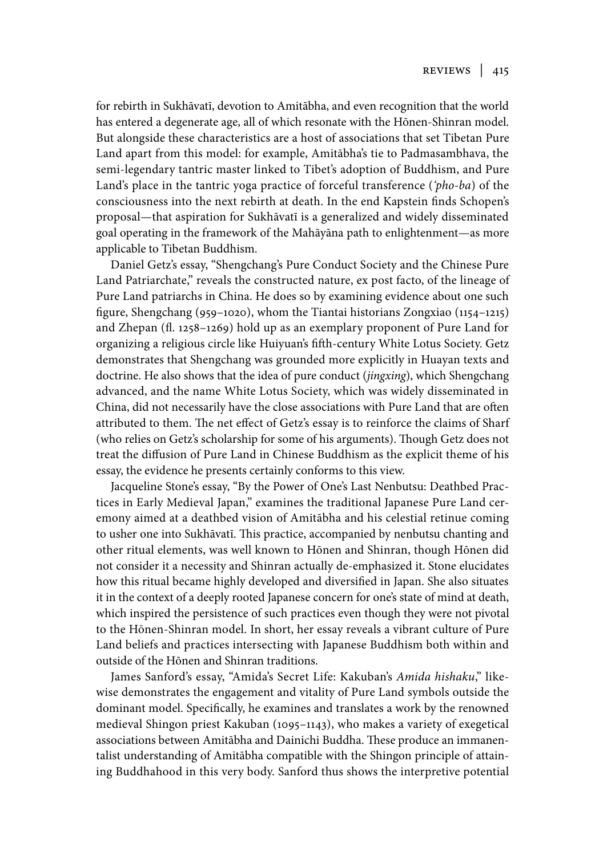for rebirth in Sukhāvatī, devotion to Amitābha, and even recognition that the world has entered a degenerate age, all of which resonate with the Hōnen-Shinran model. But alongside these characteristics are a host of associations that set Tibetan Pure Land apart from this model: for example, Amitābha's tie to Padmasambhava, the semi-legendary tantric master linked to Tibet's adoption of Buddhism, and Pure Land's place in the tantric yoga practice of forceful transference (*'pho-ba*) of the consciousness into the next rebirth at death. In the end Kapstein finds Schopen's proposal—that aspiration for Sukhāvatī is a generalized and widely disseminated goal operating in the framework of the Mahāyāna path to enlightenment—as more applicable to Tibetan Buddhism.

Daniel Getz's essay, "Shengchang's Pure Conduct Society and the Chinese Pure Land Patriarchate," reveals the constructed nature, ex post facto, of the lineage of Pure Land patriarchs in China. He does so by examining evidence about one such figure, Shengchang (959–1020), whom the Tiantai historians Zongxiao (1154–1215) and Zhepan (fl. 1258–1269) hold up as an exemplary proponent of Pure Land for organizing a religious circle like Huiyuan's fifth-century White Lotus Society. Getz demonstrates that Shengchang was grounded more explicitly in Huayan texts and doctrine. He also shows that the idea of pure conduct (*jingxing*), which Shengchang advanced, and the name White Lotus Society, which was widely disseminated in China, did not necessarily have the close associations with Pure Land that are often attributed to them. The net effect of Getz's essay is to reinforce the claims of Sharf (who relies on Getz's scholarship for some of his arguments). Though Getz does not treat the diffusion of Pure Land in Chinese Buddhism as the explicit theme of his essay, the evidence he presents certainly conforms to this view.

Jacqueline Stone's essay, "By the Power of One's Last Nenbutsu: Deathbed Practices in Early Medieval Japan," examines the traditional Japanese Pure Land ceremony aimed at a deathbed vision of Amitābha and his celestial retinue coming to usher one into Sukhāvatī. This practice, accompanied by nenbutsu chanting and other ritual elements, was well known to Hōnen and Shinran, though Hōnen did not consider it a necessity and Shinran actually de-emphasized it. Stone elucidates how this ritual became highly developed and diversified in Japan. She also situates it in the context of a deeply rooted Japanese concern for one's state of mind at death, which inspired the persistence of such practices even though they were not pivotal to the Hōnen-Shinran model. In short, her essay reveals a vibrant culture of Pure Land beliefs and practices intersecting with Japanese Buddhism both within and outside of the Hōnen and Shinran traditions.

James Sanford's essay, "Amida's Secret Life: Kakuban's *Amida hishaku*," likewise demonstrates the engagement and vitality of Pure Land symbols outside the dominant model. Specifically, he examines and translates a work by the renowned medieval Shingon priest Kakuban (1095–1143), who makes a variety of exegetical associations between Amitābha and Dainichi Buddha. These produce an immanentalist understanding of Amitābha compatible with the Shingon principle of attaining Buddhahood in this very body. Sanford thus shows the interpretive potential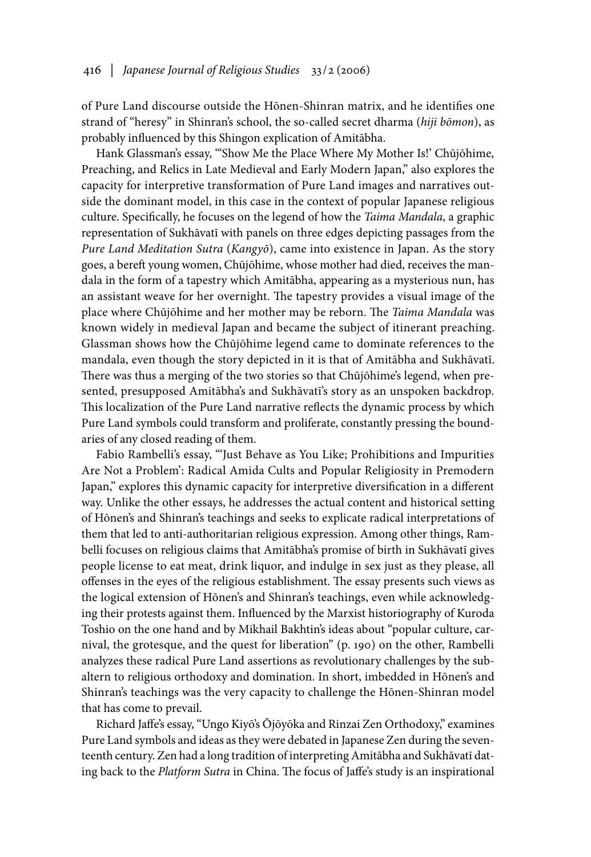of Pure Land discourse outside the Hōnen-Shinran matrix, and he identifies one strand of "heresy" in Shinran's school, the so-called secret dharma (*hiji bōmon*), as probably influenced by this Shingon explication of Amitābha.

Hank Glassman's essay, "'Show Me the Place Where My Mother Is!' Chūjōhime, Preaching, and Relics in Late Medieval and Early Modern Japan," also explores the capacity for interpretive transformation of Pure Land images and narratives outside the dominant model, in this case in the context of popular Japanese religious culture. Specifically, he focuses on the legend of how the *Taima Mandala*, a graphic representation of Sukhāvatī with panels on three edges depicting passages from the *Pure Land Meditation Sutra* (*Kangyō*), came into existence in Japan. As the story goes, a bereft young women, Chūjōhime, whose mother had died, receives the mandala in the form of a tapestry which Amitābha, appearing as a mysterious nun, has an assistant weave for her overnight. The tapestry provides a visual image of the place where Chūjōhime and her mother may be reborn. The *Taima Mandala* was known widely in medieval Japan and became the subject of itinerant preaching. Glassman shows how the Chūjōhime legend came to dominate references to the mandala, even though the story depicted in it is that of Amitābha and Sukhāvatī. There was thus a merging of the two stories so that Chūjōhime's legend, when presented, presupposed Amitābha's and Sukhāvatī's story as an unspoken backdrop. This localization of the Pure Land narrative reflects the dynamic process by which Pure Land symbols could transform and proliferate, constantly pressing the boundaries of any closed reading of them.

Fabio Rambelli's essay, "'Just Behave as You Like; Prohibitions and Impurities Are Not a Problem': Radical Amida Cults and Popular Religiosity in Premodern Japan," explores this dynamic capacity for interpretive diversification in a different way. Unlike the other essays, he addresses the actual content and historical setting of Hōnen's and Shinran's teachings and seeks to explicate radical interpretations of them that led to anti-authoritarian religious expression. Among other things, Rambelli focuses on religious claims that Amitābha's promise of birth in Sukhāvatī gives people license to eat meat, drink liquor, and indulge in sex just as they please, all offenses in the eyes of the religious establishment. The essay presents such views as the logical extension of Hōnen's and Shinran's teachings, even while acknowledging their protests against them. Influenced by the Marxist historiography of Kuroda Toshio on the one hand and by Mikhail Bakhtin's ideas about "popular culture, carnival, the grotesque, and the quest for liberation" (p. 190) on the other, Rambelli analyzes these radical Pure Land assertions as revolutionary challenges by the subaltern to religious orthodoxy and domination. In short, imbedded in Hōnen's and Shinran's teachings was the very capacity to challenge the Hōnen-Shinran model that has come to prevail.

Richard Jaffe's essay, "Ungo Kiyō's Ōjōyōka and Rinzai Zen Orthodoxy," examines Pure Land symbols and ideas as they were debated in Japanese Zen during the seventeenth century. Zen had a long tradition of interpreting Amitābha and Sukhāvatī dating back to the *Platform Sutra* in China. The focus of Jaffe's study is an inspirational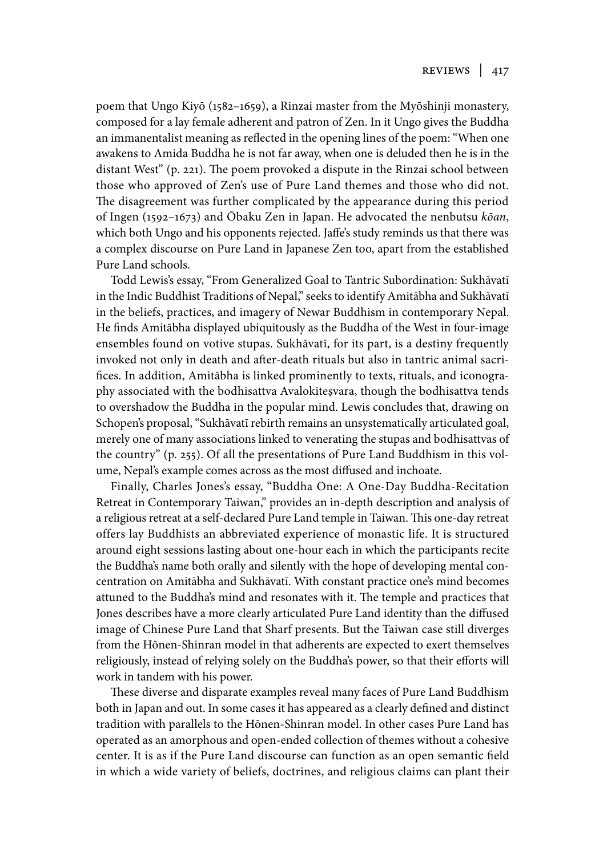poem that Ungo Kiyō (1582–1659), a Rinzai master from the Myōshinji monastery, composed for a lay female adherent and patron of Zen. In it Ungo gives the Buddha an immanentalist meaning as reflected in the opening lines of the poem: "When one awakens to Amida Buddha he is not far away, when one is deluded then he is in the distant West" (p. 221). The poem provoked a dispute in the Rinzai school between those who approved of Zen's use of Pure Land themes and those who did not. The disagreement was further complicated by the appearance during this period of Ingen (1592–1673) and Ōbaku Zen in Japan. He advocated the nenbutsu *kōan*, which both Ungo and his opponents rejected. Jaffe's study reminds us that there was a complex discourse on Pure Land in Japanese Zen too, apart from the established Pure Land schools.

Todd Lewis's essay, "From Generalized Goal to Tantric Subordination: Sukhāvatī in the Indic Buddhist Traditions of Nepal," seeks to identify Amitābha and Sukhāvatī in the beliefs, practices, and imagery of Newar Buddhism in contemporary Nepal. He finds Amitābha displayed ubiquitously as the Buddha of the West in four-image ensembles found on votive stupas. Sukhāvatī, for its part, is a destiny frequently invoked not only in death and after-death rituals but also in tantric animal sacrifices. In addition, Amitābha is linked prominently to texts, rituals, and iconography associated with the bodhisattva Avalokiteṣvara, though the bodhisattva tends to overshadow the Buddha in the popular mind. Lewis concludes that, drawing on Schopen's proposal, "Sukhāvatī rebirth remains an unsystematically articulated goal, merely one of many associations linked to venerating the stupas and bodhisattvas of the country" (p. 255). Of all the presentations of Pure Land Buddhism in this volume, Nepal's example comes across as the most diffused and inchoate.

Finally, Charles Jones's essay, "Buddha One: A One-Day Buddha-Recitation Retreat in Contemporary Taiwan," provides an in-depth description and analysis of a religious retreat at a self-declared Pure Land temple in Taiwan. This one-day retreat offers lay Buddhists an abbreviated experience of monastic life. It is structured around eight sessions lasting about one-hour each in which the participants recite the Buddha's name both orally and silently with the hope of developing mental concentration on Amitābha and Sukhāvatī. With constant practice one's mind becomes attuned to the Buddha's mind and resonates with it. The temple and practices that Jones describes have a more clearly articulated Pure Land identity than the diffused image of Chinese Pure Land that Sharf presents. But the Taiwan case still diverges from the Hōnen-Shinran model in that adherents are expected to exert themselves religiously, instead of relying solely on the Buddha's power, so that their efforts will work in tandem with his power.

These diverse and disparate examples reveal many faces of Pure Land Buddhism both in Japan and out. In some cases it has appeared as a clearly defined and distinct tradition with parallels to the Hōnen-Shinran model. In other cases Pure Land has operated as an amorphous and open-ended collection of themes without a cohesive center. It is as if the Pure Land discourse can function as an open semantic field in which a wide variety of beliefs, doctrines, and religious claims can plant their